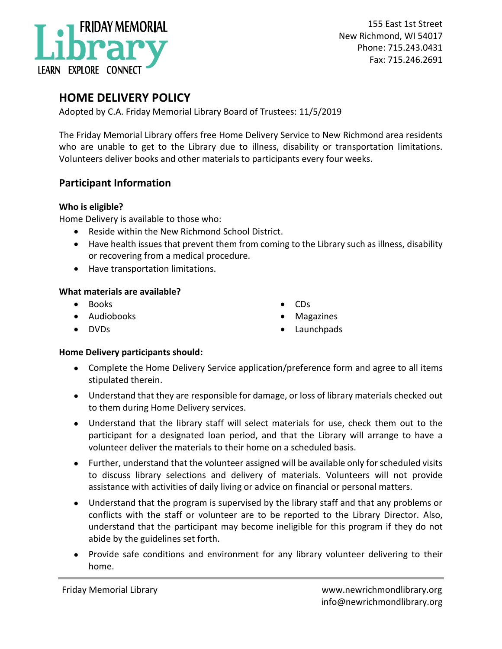

155 East 1st Street New Richmond, WI 54017 Phone: 715.243.0431 Fax: 715.246.2691

# **HOME DELIVERY POLICY**

Adopted by C.A. Friday Memorial Library Board of Trustees: 11/5/2019

The Friday Memorial Library offers free Home Delivery Service to New Richmond area residents who are unable to get to the Library due to illness, disability or transportation limitations. Volunteers deliver books and other materials to participants every four weeks.

## **Participant Information**

#### **Who is eligible?**

Home Delivery is available to those who:

- Reside within the New Richmond School District.
- Have health issues that prevent them from coming to the Library such as illness, disability or recovering from a medical procedure.
- Have transportation limitations.

#### **What materials are available?**

- Books
- Audiobooks
- DVDs
- CDs
- Magazines
- Launchpads

### **Home Delivery participants should:**

- Complete the Home Delivery Service application/preference form and agree to all items stipulated therein.
- Understand that they are responsible for damage, or loss of library materials checked out to them during Home Delivery services.
- Understand that the library staff will select materials for use, check them out to the participant for a designated loan period, and that the Library will arrange to have a volunteer deliver the materials to their home on a scheduled basis.
- Further, understand that the volunteer assigned will be available only for scheduled visits to discuss library selections and delivery of materials. Volunteers will not provide assistance with activities of daily living or advice on financial or personal matters.
- Understand that the program is supervised by the library staff and that any problems or conflicts with the staff or volunteer are to be reported to the Library Director. Also, understand that the participant may become ineligible for this program if they do not abide by the guidelines set forth.
- Provide safe conditions and environment for any library volunteer delivering to their home.